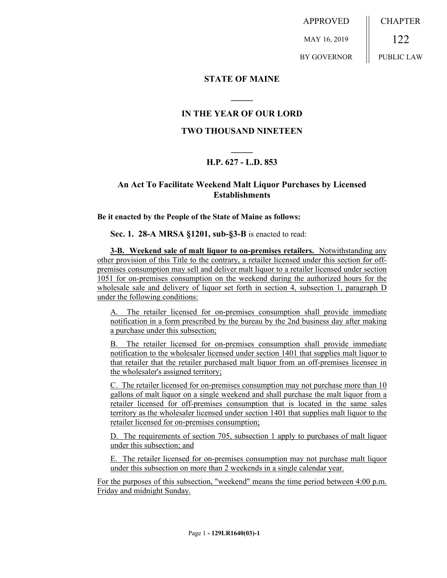APPROVED MAY 16, 2019 BY GOVERNOR CHAPTER 122 PUBLIC LAW

**STATE OF MAINE**

## **IN THE YEAR OF OUR LORD**

**\_\_\_\_\_**

## **TWO THOUSAND NINETEEN**

## **\_\_\_\_\_ H.P. 627 - L.D. 853**

## **An Act To Facilitate Weekend Malt Liquor Purchases by Licensed Establishments**

**Be it enacted by the People of the State of Maine as follows:**

**Sec. 1. 28-A MRSA §1201, sub-§3-B** is enacted to read:

**3-B. Weekend sale of malt liquor to on-premises retailers.** Notwithstanding any other provision of this Title to the contrary, a retailer licensed under this section for offpremises consumption may sell and deliver malt liquor to a retailer licensed under section 1051 for on-premises consumption on the weekend during the authorized hours for the wholesale sale and delivery of liquor set forth in section 4, subsection 1, paragraph D under the following conditions:

A. The retailer licensed for on-premises consumption shall provide immediate notification in a form prescribed by the bureau by the 2nd business day after making a purchase under this subsection;

B. The retailer licensed for on-premises consumption shall provide immediate notification to the wholesaler licensed under section 1401 that supplies malt liquor to that retailer that the retailer purchased malt liquor from an off-premises licensee in the wholesaler's assigned territory;

C. The retailer licensed for on-premises consumption may not purchase more than 10 gallons of malt liquor on a single weekend and shall purchase the malt liquor from a retailer licensed for off-premises consumption that is located in the same sales territory as the wholesaler licensed under section 1401 that supplies malt liquor to the retailer licensed for on-premises consumption;

D. The requirements of section 705, subsection 1 apply to purchases of malt liquor under this subsection; and

E. The retailer licensed for on-premises consumption may not purchase malt liquor under this subsection on more than 2 weekends in a single calendar year.

For the purposes of this subsection, "weekend" means the time period between 4:00 p.m. Friday and midnight Sunday.